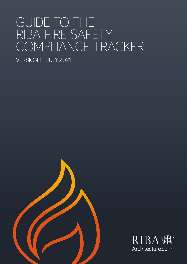# GUIDE TO THE RIBA FIRE SAFETY COMPLIANCE TRACKER

VERSION 1 - JULY 2021



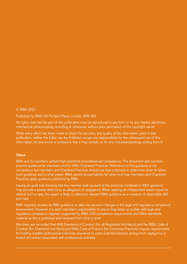#### © RIBA 2021

#### Published by RIBA, 66 Portland Place, London, W1B 1AD.

All rights reserved. No part of this publication may be reproduced in any form or by any means, electronic, mechanical, photocopying, recording or otherwise, without prior permission of the copyright owner.

While every effort has been made to check the accuracy and quality of the information given in this publication, neither the Editor nor the Publisher accept any responsibility for the subsequent use of this information, for any errors or omissions that it may contain, or for any misunderstandings arising from it.

#### **Status**

RIBA and its members uphold high standards of professional competence. This document sets out best practice guidance for members and for RIBA Chartered Practices. Adherence to this guidance is not compulsory but members and Chartered Practices should use their judgment to determine when to follow such guidance and to what extent. RIBA cannot accept liability for when and how members and Chartered Practices apply guidance published by RIBA.

Having an audit trail showing that the member took account of the practices contained in RIBA guidance may provide a partial defence to an allegation of negligence. When seeking an independent expert report to defend such a case, the expert is likely to reference relevant RIBA guidance as a measure of reasonable skill and care.

RIBA regularly reviews its RIBA guidance, to take into account changes in the legal and regulatory compliance environment. However, it is each member's responsibility to ensure they keep up to date with legal and regulatory compliance regimes, supported by RIBA CPD compliance requirements and RIBA standards material as this is published and reviewed from time to time.

Members are reminded that ARB Standards of Conduct (for all Registered Architects) and the RIBA Code of Conduct (for Chartered members) and RIBA Code of Practice (for Chartered Practices) impose requirements for holding suitable professional indemnity insurance to cover potential liabilities arising from negligence or breach of contract associated with professional activities.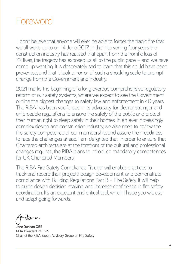# Foreword

 I don't believe that anyone will ever be able to forget the tragic fire that we all woke up to on 14 June 2017. In the intervening four years the construction industry has realised that apart from the horrific loss of 72 lives, the tragedy has exposed us all to the public gaze – and we have come up wanting. It is desperately sad to learn that this could have been prevented, and that it took a horror of such a shocking scale to prompt change from the Government and industry.

2021 marks the beginning of a long overdue comprehensive regulatory reform of our safety systems, where we expect to see the Government outline the biggest changes to safety law and enforcement in 40 years. The RIBA has been vociferous in its advocacy for clearer, stronger and enforceable regulations to ensure the safety of the public and protect their human right to sleep safely in their homes. In an ever increasingly complex design and construction industry, we also need to review the fire safety competence of our membership, and assure their readiness to face the challenges ahead. I am delighted that, in order to ensure that Chartered architects are at the forefront of the cultural and professional changes required, the RIBA plans to introduce mandatory competences for UK Chartered Members.

The RIBA Fire Safety Compliance Tracker will enable practices to track and record their projects' design development, and demonstrate compliance with Building Regulations Part B – Fire Safety. It will help to guide design decision making, and increase confidence in fire safety coordination. It's an excellent and critical tool, which I hope you will use and adapt going forwards.

**Jane Duncan OBE** RIBA President 2017-19 Chair of the RIBA Expert Advisory Group on Fire Safety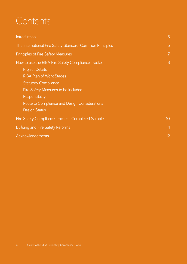# **Contents**

| Introduction                                                                                                                                                                                                                                                                     | 5              |  |  |  |
|----------------------------------------------------------------------------------------------------------------------------------------------------------------------------------------------------------------------------------------------------------------------------------|----------------|--|--|--|
| The International Fire Safety Standard: Common Principles                                                                                                                                                                                                                        |                |  |  |  |
| <b>Principles of Fire Safety Measures</b>                                                                                                                                                                                                                                        | $\overline{7}$ |  |  |  |
| How to use the RIBA Fire Safety Compliance Tracker<br><b>Project Details</b><br><b>RIBA Plan of Work Stages</b><br><b>Statutory Compliance</b><br>Fire Safety Measures to be Included<br>Responsibility<br>Route to Compliance and Design Considerations<br><b>Design Status</b> | 8              |  |  |  |
| Fire Safety Compliance Tracker - Completed Sample                                                                                                                                                                                                                                |                |  |  |  |
| <b>Building and Fire Safety Reforms</b>                                                                                                                                                                                                                                          | 11             |  |  |  |
| Acknowledgements                                                                                                                                                                                                                                                                 |                |  |  |  |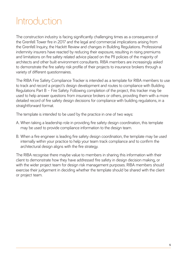# Introduction

The construction industry is facing significantly challenging times as a consequence of the Grenfell Tower fire in 2017 and the legal and commercial implications arising from the Grenfell Inquiry, the Hackitt Review and changes in Building Regulations. Professional indemnity insurers have reacted by reducing their exposure, resulting in rising premiums and limitations on fire safety related advice placed on the PII policies of the majority of architects and other built environment consultants. RIBA members are increasingly asked to demonstrate the fire safety risk profile of their projects to insurance brokers through a variety of different questionnaires.

The RIBA Fire Safety Compliance Tracker is intended as a template for RIBA members to use to track and record a project's design development and routes to compliance with Building Regulations Part B – Fire Safety. Following completion of the project, this tracker may be used to help answer questions from insurance brokers or others, providing them with a more detailed record of fire safety design decisions for compliance with building regulations, in a straightforward format.

The template is intended to be used by the practice in one of two ways:

- A. When taking a leadership role in providing fire safety design coordination, this template may be used to provide compliance information to the design team.
- B. When a fire engineer is leading fire safety design coordination, the template may be used internally within your practice to help your team track compliance and to confirm the architectural design aligns with the fire strategy.

The RIBA recognise there maybe value to members in sharing this information with their client to demonstrate how they have addressed fire safety in design decision making, or with the wider project team for design risk management purposes. RIBA members should exercise their judgement in deciding whether the template should be shared with the client or project team.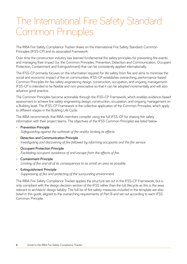# The International Fire Safety Standard: Common Principles

The RIBA Fire Safety Compliance Tracker draws on the International Fire Safety Standard: Common Principles (IFSS-CP) and its associated Framework.

Over time the construction industry has learned fundamental fire safety principles for preventing fire events and managing their impact (i.e. the Common Principles: Prevention, Detection and Communication, Occupant Protection, Containment and Extinguishment) that can be consistently applied internationally.

The IFSS-CP primarily focuses on the information required for life safety from fire and aims to minimise the social and economic impact of fire on communities. IFSS-CP establishes overarching, performance-based Common Principles for fire safety engineering design, construction, occupation, and ongoing management. IFSS-CP is intended to be flexible and non-prescriptive so that it can be adopted incrementally and will also advance good practice.

The Common Principles become actionable through the IFSS-CP Framework, which enables evidence-based assessment to achieve fire safety engineering design, construction, occupation, and ongoing management on a Building level. The IFSS-CP Framework is the collective application of the Common Principles, which apply to different stages in the Building Life Cycle.

The RIBA recommends that RIBA members consider using the full IFSS-CP for sharing fire safety information with their project teams. The objectives of the IFSS Common Principles are listed below.

- **Prevention Principle**  *Safeguarding against the outbreak of fire and/or limiting its effects.*
- **Detection and Communication Principle**  *Investigating and discovering of fire followed by informing occupants and the fire service.*
- **Occupant Protection Principle**  *Facilitating occupant avoidance of and escape from the effects of fire.*
- **Containment Principle**  *Limiting of fire and all of its consequences to as small an area as possible.*
- **Extinguishment Principle**  *Suppressing of fire and protecting of the surrounding environment.*

The RIBA Fire Safety Compliance Tracker applies the structure set out in the IFSS-CP Framework, but is only compliant with the design decision section of the IFSS rather than the full lifecycle as this is the area relevant to architects' design liability. The full list of fire safety measures included in the template are also listed in this guide, aligned to the overarching requirements of Part B and set out according to each IFSS Common Principle.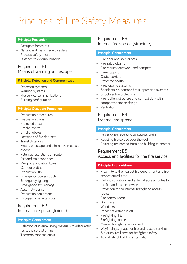# Principles of Fire Safety Measures

#### **Principle: Prevention**

- Occupant behaviour
- Natural and man-made disasters
- Process safety in use
- Distance to external hazards

## Requirement B1 Means of warning and escape

#### **Principle: Detection and Communication**

- Detection systems
- Warning systems
- Fire service communications
- Building configuration

#### **Principle: Occupant Protection**

- Evacuation procedures
- Evacuation plans
- Protected areas
- Smoke control
- Smoke lobbies
- Locations of fire doorsets
- Travel distances
- Means of escape and alternative means of escape
- Potential restrictions en route
- Exit and stair capacities
- Merging population flows
- Corridor widths
- Evacuation lifts
- Emergency power supply
- Emergency lighting
- Emergency exit signage
- Assembly points
- Evacuation equipment
- Occupant characteristics

### Requirement B2 Internal fire spread (linings)

#### **Principle: Containment**

- Selection of internal lining materials to adequately resist the spread of fire
- Thermoplastic materials

### Requirement B3 Internal fire spread (structure)

#### **Principle: Containment**

- Fire door and shutter sets
- Fire-rated glazing
- Fire resilient ductwork and dampers
- Fire-stopping
- Cavity barriers
- Protected shafts
- Firestopping systems
- Sprinklers / automatic fire suppression systems
- Structural fire protection
- Fire resilient structure and compatibility with compartmentation design
- Ventilation

#### Requirement B4 External fire spread

#### **Principle: Containment**

- Resisting fire spread over external walls
- Resisting fire spread over the roof
- Resisting fire spread from one building to another

#### Requirement B5 Access and facilities for the fire service

#### **Principle: Extinguishment**

- Proximity to the nearest fire department and fire service arrival time
- Parking conditions and external access routes for the fire and rescue services
- Protection to the internal firefighting access routes
- Fire control room
- Dry risers
- Wet risers
- Impact of water run off
- Firefighting lifts
- Firefighting lobbies
- Manual firefighting equipment
- Wayfinding signage for fire and rescue services
- Structural resilience for firefighter safety
- Availability of building information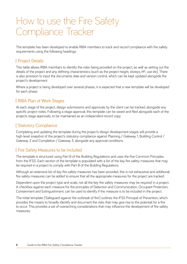# How to use the Fire Safety Compliance Tracker

The template has been developed to enable RIBA members to track and record compliance with fire safety requirements using the following headings:

## Project Details

This table allows RIBA members to identify the roles being provided on the project, as well as setting out the details of the project and any defining characteristics (such as the project height, storeys, M<sup>2</sup>, use etc). There is also provision to input the documents date and version control, which can be kept updated alongside the project's development.

Where a project is being developed over several phases, it is expected that a new template will be developed for each phase.

## RIBA Plan of Work Stages

At each stage of the project, design submissions and approvals by the client can be tracked, alongside any specific project notes. Following a stage approval, this template can be saved and filed alongside each of the projects stage approvals, to be maintained as an independent record copy.

## Statutory Compliance

Completing and updating the template during the project's design development stages will provide a high-level snapshot of the project's statutory compliance against Planning / Gateway 1, Building Control / Gateway 2 and Completion / Gateway 3, alongside any approval conditions.

### Fire Safety Measures to be Included

The template is structured using Part B of the Building Regulations and uses the five Common Principles from the IFSS. Each section of the template is populated with a list of the key fire safety measures that may be required in a project to comply with Part B of the Building Regulations.

Although an extensive list of key fire safety measures has been provided, this is not exhaustive and additional fire safety measures can be added to ensure that all the appropriate measures for the project are tracked.

Dependent upon the project type and scale, not all the key fire safety measures may be required in a project. A checkbox against each measure for the principles of Detection and Communication, Occupant Protection, Containment and Extinguishment, can be used to identify if the measure is to be included in the project.

The initial template ('Safeguard against the outbreak of fire') outlines the IFSS Principal of Prevention, which provides the means to broadly identify and document the risks that may give rise to the potential for a fire to occur. This provides a set of overarching considerations that may influence the development of fire safety measures.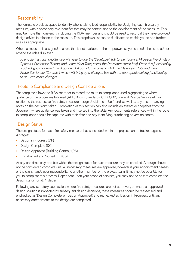# Responsibility

The template provides space to identify who is taking lead responsibility for designing each fire safety measure, with a secondary role identifier that may be contributing to the development of the measure. This may be more than one entity including the RIBA member and should be used to record if they have provided design advice in relation to the measure. This dropdown list can be duplicated to enable you to add further roles as appropriate.

Where a measure is assigned to a role that is not available in the dropdown list, you can edit the list to add or amend the roles displayed.

*To enable this functionality, you will need to add the 'Developer' Tab to the ribbon in Microsoft Word (File > Options > Customize Ribbon, and under Main Tabs, select the Developer check box). Once this functionality is added, you can select the dropdown list you plan to amend, click the 'Developer' Tab, and then 'Properties' (under 'Controls'), which will bring up a dialogue box with the appropriate editing functionality so you can make changes.*

## Route to Compliance and Design Considerations

The template allows the RIBA member to record the route to compliance used, signposting to where guidance or the processes followed (ADB, British Standards, CFD, QDR, Fire and Rescue Service etc) in relation to the respective fire safety measure design decision can be found, as well as any accompanying notes on the decisions taken. Completion of this section can also include an extract or snapshot from the document where guidance was taken and inserted into the table. Any documents referenced within the route to compliance should be captured with their date and any identifying numbering or version control.

# Design Status

The design status for each fire safety measure that is included within the project can be tracked against 4 stages:

- Design in Progress (DP)
- Design Complete (DC)
- Design Approved (Building Control) (DA)
- Constructed and Signed Off (CS)

At any one time, only one box within the design status for each measure may be checked. A design should not be considered complete until all necessary measures are approved, however if your appointment ceases or the client hands over responsibility to another member of the project team, it may not be possible for you to complete this process. Dependent upon your scope of services, you may not be able to complete the design status for all 4 stages.

Following any statutory submission, where fire safety measures are not approved, or where an approved design solution is impacted by subsequent design decisions, these measures should be reassessed and unchecked as 'Design Complete' or 'Design Approved', and rechecked as 'Design in Progress', until any necessary amendments to the design are completed.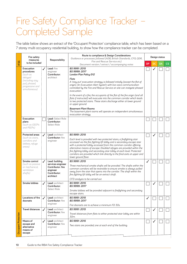# Fire Safety Compliance Tracker – Completed Sample

The table below shows an extract of the 'Occupant Protection' compliance table, which has been based on a 7 storey multi occupancy residential building, to show how the compliance tracker can be completed.

|                            | <b>Fire safety</b><br>measures<br>to be included                                                                        |                          | Responsibility                                                                                    | Route to compliance & Design Considerations<br>Guidance or processes followed (ADB, British Standards, CFD, QDR,<br>Fire and Rescue Service etc)<br>Document version / extract / accompanying notes                                                                                                                                                                                                                                                                                                                                                                                                                                                                                                               | Design status |              |           |     |
|----------------------------|-------------------------------------------------------------------------------------------------------------------------|--------------------------|---------------------------------------------------------------------------------------------------|-------------------------------------------------------------------------------------------------------------------------------------------------------------------------------------------------------------------------------------------------------------------------------------------------------------------------------------------------------------------------------------------------------------------------------------------------------------------------------------------------------------------------------------------------------------------------------------------------------------------------------------------------------------------------------------------------------------------|---------------|--------------|-----------|-----|
| <b>IFSS</b>                |                                                                                                                         |                          |                                                                                                   |                                                                                                                                                                                                                                                                                                                                                                                                                                                                                                                                                                                                                                                                                                                   | <b>DP</b>     | <b>DC</b>    | <b>DA</b> | CS. |
|                            | Evacuation<br>procedures<br>(such as<br>delayed<br>(including stay<br>put), phased,<br>progressive and<br>simultaneous) | ℐ                        | Lead: fire<br>engineer<br>Contributor:<br>architect                                               | BS 9991: 2015<br>BS 9999: 2017<br><b>London Plan Policy D12</b><br><b>Flats</b><br>A 'stay put' evacuation strategy is followed initially (except the flat of<br>origin). An Evacuation Alert System with live voice communication<br>controlled by the Fire and Rescue Service on site can instigate phased<br>evacuation.<br>In the event of a fire, the occupants of the flat of the fire origin (and all<br>flats if instructed) will evacuate into the common corridor which leads<br>to two protected stairs. These stairs discharge either at lower ground<br>or upper ground.<br><b>Basement Plant Rooms</b><br>The basement plant rooms will operate an independent simultaneous<br>evacuation strategy. |               | ✓            |           |     |
|                            | Evacuation<br>plans<br>(such as GEEPs<br>and PEEPs)                                                                     |                          | Lead: Select Role<br>Contributor:<br>Select Role                                                  |                                                                                                                                                                                                                                                                                                                                                                                                                                                                                                                                                                                                                                                                                                                   |               |              |           |     |
|                            | <b>Protected areas</b><br>(such as stairs,<br>corridors and<br>lobbies, refuge<br>areas)                                | $\overline{\mathcal{L}}$ | Lead: architect<br>Contributor: fire<br>engineer                                                  | BS 9991: 2015<br>Each level is provided with two protected stairs, a firefighting stair<br>accessed via the fire-fighting lift lobby and a secondary escape stair<br>with a protected lobby accessed from the common corridor offering<br>alternative means of escape. Disabled refuges are provided within the<br>fire-fighting lobby and secondary stair lobby at each level. Protected<br>corridors are provided which link directly to the final exits at upper and<br>lower ground floor.                                                                                                                                                                                                                    |               |              |           |     |
|                            | Smoke control<br>(such as passive<br>or mechanical,<br>ventilation<br>shafts)                                           | $\checkmark$             | Lead: building<br>services engineer<br>Contributor: fire<br>engineer<br>Contributor:<br>architect | BS 9991: 2015<br>Three mechanical smoke shafts will be provided. The shafts within the<br>common corridors will be reversible to ensure smoke is always pulled<br>away from the stair that opens into the corridor. The shaft within the<br>fire-fighting lift lobby will be an extract shaft.<br>CFD analysis to be carried out.                                                                                                                                                                                                                                                                                                                                                                                 | ✓             |              |           |     |
|                            | Smoke lobbies                                                                                                           | ℐ                        | Lead: architect<br>Contributor:<br><b>Select Role</b>                                             | BS 9991: 2015<br>BS 9999: 2017<br>Smoke lobbies will be provided adjacent to firefighting and secondary<br>escape stairs.                                                                                                                                                                                                                                                                                                                                                                                                                                                                                                                                                                                         |               |              |           |     |
|                            | Locations of fire<br>doorsets                                                                                           | J                        | Lead: architect<br>Contributor: fire<br>engineer                                                  | BS 9991: 2015<br>BS 9999: 2017<br>Fire doorsets are to achieve a minimum FD 30s.                                                                                                                                                                                                                                                                                                                                                                                                                                                                                                                                                                                                                                  | $\checkmark$  |              |           |     |
|                            | <b>Travel distances</b>                                                                                                 | $\cal{I}$                | Lead: architect<br>Contributor: fire<br>engineer                                                  | BS 9991: 2015<br>Travel distances from flats to either protected stair lobby are within<br>30m.                                                                                                                                                                                                                                                                                                                                                                                                                                                                                                                                                                                                                   |               | ✓            |           |     |
| <b>Occupant Protection</b> | Means of<br>escape and<br>alternative<br>means of<br>escape                                                             | J                        | Lead: architect<br><b>Contributor:</b> fire<br>engineer                                           | BS 9991: 2015<br>Two stairs are provided, one at each end of the building.                                                                                                                                                                                                                                                                                                                                                                                                                                                                                                                                                                                                                                        |               | $\checkmark$ |           |     |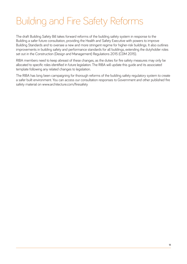# Building and Fire Safety Reforms

The draft Building Safety Bill takes forward reforms of the building safety system in response to the Building a safer future consultation, providing the Health and Safety Executive with powers to improve Building Standards and to oversee a new and more stringent regime for higher-risk buildings. It also outlines improvements in building safety and performance standards for all buildings, extending the dutyholder roles set out in the Construction (Design and Management) Regulations 2015 (CDM 2015).

RIBA members need to keep abreast of these changes, as the duties for fire safety measures may only be allocated to specific roles identified in future legislation. The RIBA will update this guide and its associated template following any related changes to legislation.

The RIBA has long been campaigning for thorough reforms of the building safety regulatory system to create a safer built environment. You can access our consultation responses to Government and other published fire safety material on www.architecture.com/firesafety